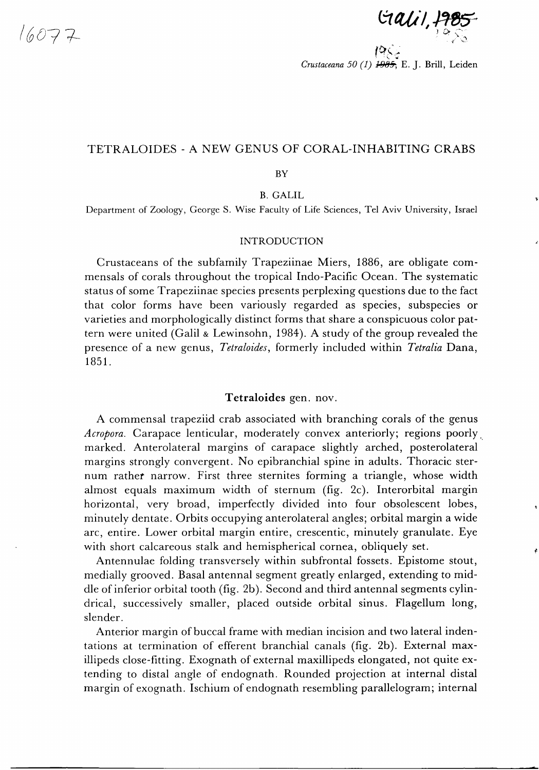*/607 7-*

 $Galil, \frac{19}{10}$ 

*Crustaceana 50 (1) 1-9&5;* E. J. Brill, Leiden

# TETRALOIDES - A NEW GENUS OF CORAL-INHABITING CRABS

BY

B. GALIL

Department of Zoology, George S. Wise Faculty of Life Sciences, Tel Aviv University, Israel

# **INTRODUCTION**

Crustaceans of the subfamily Trapeziinae Miers, 1886, are obligate commensals of corals throughout the tropical Indo-Pacific Ocean. The systematic status of some Trapeziinae species presents perplexing questions due to the fact that color forms have been variously regarded as species, subspecies or varieties and morphologically distinct forms that share a conspicuous color pattern were united (Galil & Lewinsohn, 1984). A study of the group revealed the presence of a new genus, *Tetraloides*, formerly included within *Tetralia* Dana, 1851.

## **Tetraloides** gen. nov.

A commensal trapeziid crab associated with branching corals of the genus *Acropora.* Carapace lenticular, moderately convex anteriorly; regions poorly marked. Anterolateral margins of carapace slightly arched, posterolateral margins strongly convergent. No epibranchial spine in adults. Thoracic sternum rather narrow. First three sternites forming a triangle, whose width almost equals maximum width of sternum (fig. 2c). Interorbital margin horizontal, very broad, imperfectly divided into four obsolescent lobes, minutely dentate. Orbits occupying anterolateral angles; orbital margin a wide arc, entire. Lower orbital margin entire, crescentic, minutely granulate. Eye with short calcareous stalk and hemispherical cornea, obliquely set.

Antennulae folding transversely within subfrontal fossets. Epistome stout, medially grooved. Basal antennal segment greatly enlarged, extending to middle of inferior orbital tooth (fig. 2b). Second and third antennal segments cylindrical, successively smaller, placed outside orbital sinus. Flagellum long, slender.

Anterior margin of buccal frame with median incision and two lateral indentations at termination of efferent branchial canals (fig. 2b). External maxillipeds close-fitting. Exognath of external maxillipeds elongated, not quite extending to distal angle of endognath. Rounded projection at internal distal margin of exognath. Ischium of endognath resembling parallelogram; internal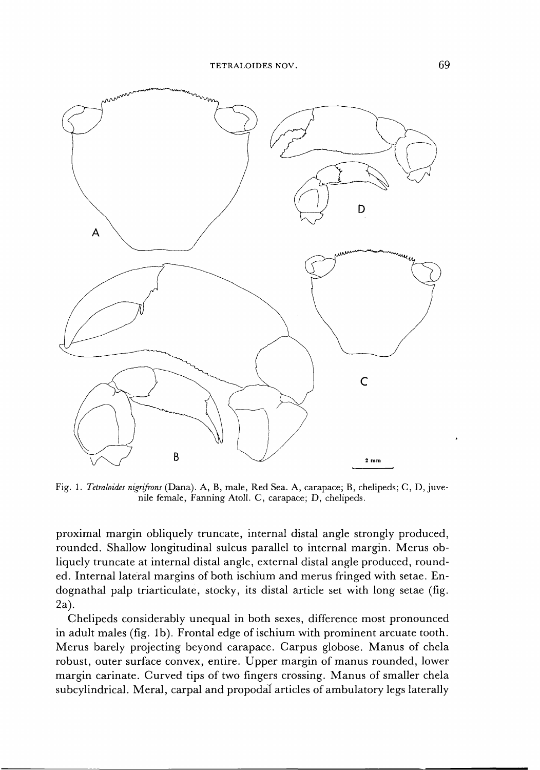

Fig. 1. *Tetraloides nigrifrons* (Dana). A, B, male, Red Sea. A, carapace; B, chelipeds; C, D, juvenile female, Fanning Atoll. C, carapace; D, chelipeds.

proximal margin obliquely truncate, internal distal angle strongly produced, rounded. Shallow longitudinal sulcus parallel to internal margin. Merus obliquely truncate at internal distal angle, external distal angle produced, rounded. Internal lateral margins of both ischium and merus fringed with setae. Endognathal palp triarticulate, stocky, its distal article set with long setae (fig. 2a).

Chelipeds considerably unequal in both sexes, difference most pronounced in adult males (fig. lb). Frontal edge of ischium with prominent arcuate tooth. Merus barely projecting beyond carapace. Carpus globose. Manus of chela robust, outer surface convex, entire. Upper margin of manus rounded, lower margin carinate. Curved tips of two fingers crossing. Manus of smaller chela subcylindrical. Meral, carpal and propodal articles of ambulatory legs laterally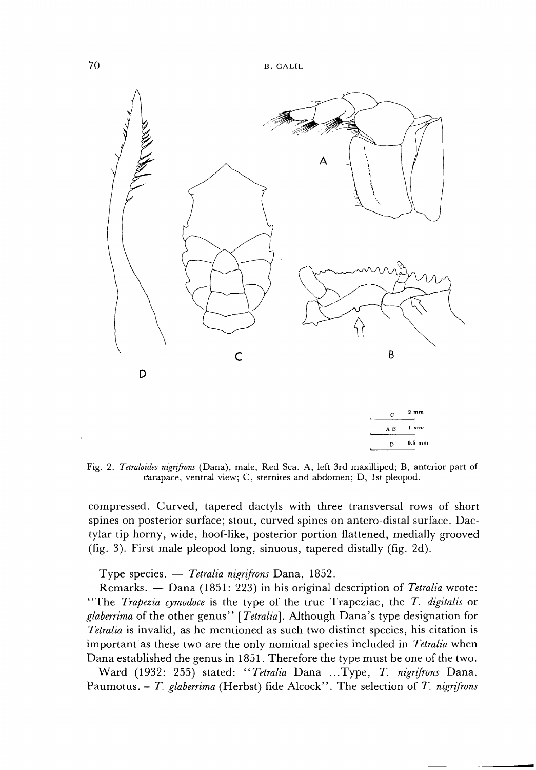

Fig. 2. *Tetraloides nigrifrons* (Dana), male, Red Sea. A, left 3rd maxilliped; B, anterior part of carapace, ventral view; C, sternites and abdomen; D, 1st pleopod.

**D 0.5 mm** 

compressed. Curved, tapered dactyls with three transversal rows of short spines on posterior surface; stout, curved spines on antero-distal surface. Dactylar tip horny, wide, hoof-like, posterior portion flattened, medially grooved (fig. 3). First male pleopod long, sinuous, tapered distally (fig. 2d).

Type species. — *Tetralia nigrifrons* Dana, 1852.

Remarks. — Dana (1851: 223) in his original description of *Tetralia* wrote: "The *Trapezia cymodoce* is the type of the true Trapeziae, the *T. digitalis* or *glaberrima* of the other genus " *[Tetralia].* Although Dana's type designation for *Tetralia* is invalid, as he mentioned as such two distinct species, his citation is important as these two are the only nominal species included in *Tetralia* when Dana established the genus in 1851. Therefore the type must be one of the two.

Ward (1932: 255) stated: "*Tetralia* Dana ...Type, *T nigrifrons* Dana. Paumotus. = *T. glaberrima* (Herbst) fide Alcock". The selection of *T. nigrifrons*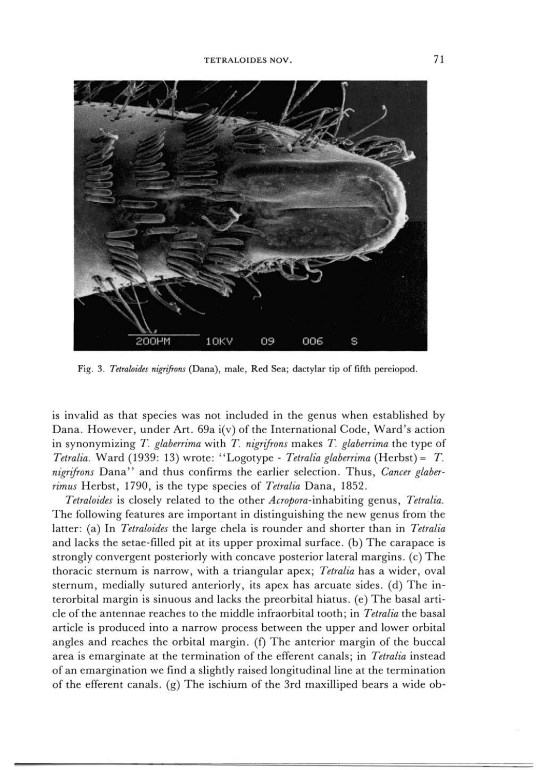

Fig. 3. *Tetraloides nigrifrons* (Dana), male, Red Sea; dactylar tip of fifth pereiopod.

is invalid as that species was not included in the genus when established by Dana. However, under Art. 69a i(v) of the International Code, Ward's action in synonymizing *T. glaberrima* with *T. nigrifrons* makes *T. glaberrima* the type of *Tetralia.* Ward (1939: 13) wrote: "Logotype - *Tetralia glaberrima* (Herbst) = *T. nigrifrons* Dana " and thus confirms the earlier selection. Thus, *Cancer glaberrimus* Herbst, 1790, is the type species of *Tetralia* Dana, 1852.

*Tetraloides* is closely related to the other *Acropora-*inhabiting genus, *Tetralia.*  The following features are important in distinguishing the new genus from the latter: (a) In *Tetraloides* the large chela is rounder and shorter than in *Tetralia*  and lacks the setae-filled pit at its upper proximal surface, (b) The carapace is strongly convergent posteriorly with concave posterior lateral margins, (c) The thoracic sternum is narrow, with a triangular apex; *Tetralia* has a wider, oval sternum, medially sutured anteriorly, its apex has arcuate sides, (d) The interorbital margin is sinuous and lacks the preorbital hiatus, (e) The basal article of the antennae reaches to the middle infraorbital tooth; in *Tetralia* the basal article is produced into a narrow process between the upper and lower orbital angles and reaches the orbital margin, (f) The anterior margin of the buccal area is emarginate at the termination of the efferent canals; in *Tetralia* instead of an emargination we find a slightly raised longitudinal line at the termination of the efferent canals, (g) The ischium of the 3rd maxilliped bears a wide ob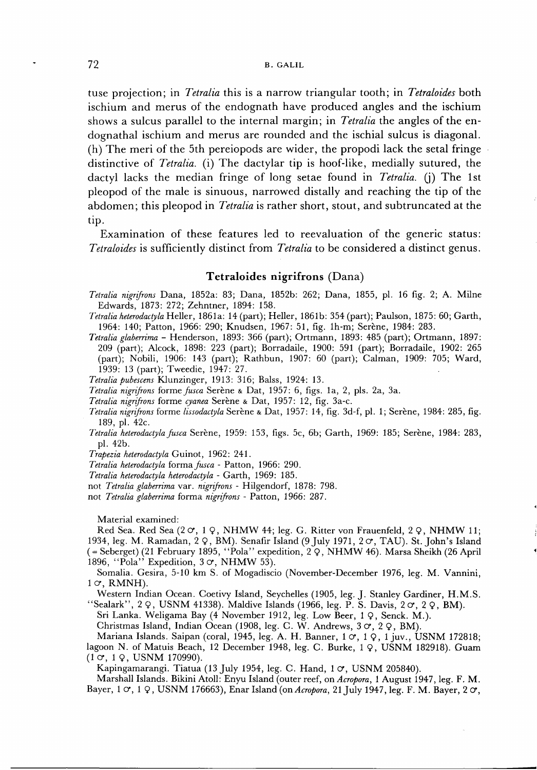tuse projection; in *Tetralia* this is a narrow triangular tooth; in *Tetraloides* both ischium and merus of the endognath have produced angles and the ischium shows a sulcus parallel to the internal margin; in *Tetralia* the angles of the endognathal ischium and merus are rounded and the ischial sulcus is diagonal. (h) The meri of the 5th pereiopods are wider, the propodi lack the setal fringe distinctive of *Tetralia.* (i) The dactylar tip is hoof-like, medially sutured, the dactyl lacks the median fringe of long setae found in *Tetralia.* (j) The 1st pleopod of the male is sinuous, narrowed distally and reaching the tip of the abdomen; this pleopod in *Tetralia* is rather short, stout, and subtruncated at the tip.

Examination of these features led to reevaluation of the generic status: *Tetraloides* is sufficiently distinct from *Tetralia* to be considered a distinct genus.

## **Tetraloides nigrifrons** (Dana)

- *Tetralia nigrifrons* Dana, 1852a: 83; Dana, 1852b: 262; Dana, 1855, pi. 16 fig. 2; A. Milne Edwards, 1873: 272; Zehntner, 1894: 158.
- *Tetralia heterodactyla* Heller, 1861a: 14 (part); Heller, 1861b: 354 (part); Paulson, 1875: 60; Garth, 1964: 140; Patton, 1966: 290; Knudsen, 1967: 51, fig. lh-m; Serene, 1984: 283.
- *Tetralia glaberrima* Henderson, 1893: 366 (part); Ortmann, 1893: 485 (part); Ortmann, 1897: 209 (part); Alcock, 1898: 223 (part); Borradaile, 1900: 591 (part); Borradaile, 1902: 265 (part); Nobili, 1906: 143 (part); Rathbun, 1907: 60 (part); Caiman, 1909: 705; Ward, 1939: 13 (part); Tweedie, 1947: 27.
- *Tetralia pubescens* Klunzinger, 1913: 316; Balss, 1924: 13.

*Tetralia nigrifrons* forme *fusca* Serene & Dat, 1957: 6, figs, la, 2, pis. 2a, 3a.

- *Tetralia nigrifrons* forme *cyanea* Serene & Dat, 1957: 12, fig. 3a-c.
- *Tetralia nigrifrons* forme *lissodactyla* Serene & Dat, 1957: 14, fig. 3d-f, pi. 1; Serene, 1984: 285, fig. 189, pi. 42c.
- *Tetralia heterodactyla fusca* Serene, 1959: 153, figs. 5c, 6b; Garth, 1969: 185; Serene, 1984: 283, pi. 42b.

*Trapezia heterodactyla* Guinot, 1962: 241.

*Tetralia heterodactyla* forma *fusca -* Patton, 1966: 290.

*Tetralia heterodactyla heterodactyla -* Garth, 1969: 185.

not *Tetralia glaberrima* var. *nigrifrons -* Hilgendorf, 1878: 798.

not *Tetralia glaberrima* forma *nigrifrons -* Patton, 1966: 287.

Material examined:

Red Sea. Red Sea  $(2 \circ 1)$ , NHMW 44; leg. G. Ritter von Frauenfeld, 2  $\Omega$ , NHMW 11; 1934, leg. M. Ramadan, 2  $\varphi$ , BM). Senafir Island (9 July 1971, 2  $\varphi$ , TAU). St. John's Island (= Seberget) (21 February 1895, "Pola " expedition, 2 9 , NHM W 46). Marsa Sheikh (26 April 1896, "Pola" Expedition,  $3 \text{ } \sigma$ , NHMW 53).

Somalia. Gesira, 5-10 km S. of Mogadiscio (November-December 1976, leg. M. Vannini,  $1 \sigma$ . RMNH).

Western Indian Ocean. Coetivy Island, Seychelles (1905, leg. J. Stanley Gardiner, H.M.S. "Sealark",  $2 \varphi$ , USNM 41338). Maldive Islands (1966, leg. P. S. Davis,  $2 \varphi$ , 2 $\varphi$ , BM).

Sri Lanka. Weligama Bay (4 November 1912, leg. Low Beer, 1 Q, Senck. M.).

Christmas Island, Indian Ocean (1908, leg. C. W. Andrews,  $3 \text{ } \sigma$ ,  $2 \text{ } \mathsf{Q}$ , BM).

Mariana Islands. Saipan (coral, 1945, leg. A. H. Banner, 1  $\sigma$ , 1  $\varphi$ , 1 juv., USNM 172818;

lagoon N. of Matuis Beach, 12 December 1948, leg. C. Burke, 1 Q, USNM 182918). Guam  $(1 \circ 19, \text{USNM } 170990).$ 

Kapingamarangi. Tiatua (13 July 1954, leg. C. Hand, 1 o, USNM 205840).

Marshall Islands. Bikini Atoll: Enyu Island (outer reef, on *Acropora,* 1 August 1947, leg. F. M. Bayer, 1 O, 1 Q, USNM 176663), Enar Island (on Acropora, 21 July 1947, leg. F. M. Bayer, 2 O,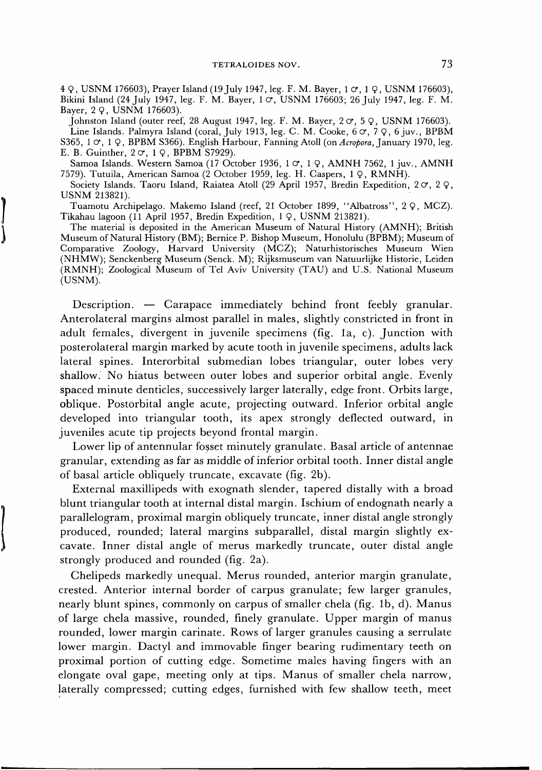4 9 , USNM 176603), Prayer Island (19July 1947, leg. F. M. Bayer, 1 *cr,* 1 9 , USNM 176603), Bikini Island (24 July 1947, leg. F. M. Bayer,  $1 \circ$ , USNM 176603; 26 July 1947, leg. F. M. Bayer, 2 Q, USNM 176603).

Johnston Island (outer reef, 28 August 1947, leg. F. M. Bayer,  $2 \text{ } \sigma$ ,  $5 \text{ } \mathsf{Q}$ , USNM 176603). Line Islands. Palmyra Island (coral, July 1913, leg. C. M. Cooke,  $60$ ,  $79$ ,  $6$  juv., BPBM S365, 1 *cr,* 1 9 , BPBM S366). English Harbour, Fanning Atoll (on *Acropora,* January 1970, leg. E. B. Guinther,  $2 \text{ } \sigma$ ,  $1 \text{ } \mathsf{Q}$ , BPBM S7929).

Samoa Islands. Western Samoa (17 October 1936, 1 o, 1 Q, AMNH 7562, 1 juv., AMNH 7579). Tutuila, American Samoa (2 October 1959, leg. H. Caspers, 1 9 , RMNH).

Society Islands. Taoru Island, Raiatea Atoll (29 April 1957, Bredin Expedition, 2 $\sigma$ , 2  $\Omega$ , USNM 213821).

Tuamotu Archipelago. Makemo Island (reef, 21 October 1899, "Albatross", 2 9 , MCZ). Tikahau lagoon (11 April 1957, Bredin Expedition, 1 Q, USNM 213821).

The material is deposited in the American Museum of Natural History (AMNH); British Museum of Natural History (BM); Bernice P. Bishop Museum, Honolulu (BPBM); Museum of Comparative Zoology, Harvard University (MCZ); Naturhistorisches Museum Wien (NHMW); Senckenberg Museum (Senck. M); Rijksmuseum van Natuurlijke Historie, Leiden (RMNH); Zoological Museum of Tel Aviv University (TAU) and U.S. National Museum (USNM).

Description. — Carapace immediately behind front feebly granular. Anterolateral margins almost parallel in males, slightly constricted in front in adult females, divergent in juvenile specimens (fig. la, c). Junction with posterolateral margin marked by acute tooth in juvenile specimens, adults lack lateral spines. Interorbital submedian lobes triangular, outer lobes very shallow. No hiatus between outer lobes and superior orbital angle. Evenly spaced minute denticles, successively larger laterally, edge front. Orbits large, oblique. Postorbital angle acute, projecting outward. Inferior orbital angle developed into triangular tooth, its apex strongly deflected outward, in juveniles acute tip projects beyond frontal margin.

Lower lip of antennular fosset minutely granulate. Basal article of antennae granular, extending as far as middle of inferior orbital tooth. Inner distal angle of basal article obliquely truncate, excavate (fig. 2b).

External maxillipeds with exognath slender, tapered distally with a broad blunt triangular tooth at internal distal margin. Ischium of endognath nearly a parallelogram, proximal margin obliquely truncate, inner distal angle strongly produced, rounded; lateral margins subparallel, distal margin slightly excavate. Inner distal angle of merus markedly truncate, outer distal angle strongly produced and rounded (fig. 2a).

Chelipeds markedly unequal. Merus rounded, anterior margin granulate, crested. Anterior internal border of carpus granulate; few larger granules, nearly blunt spines, commonly on carpus of smaller chela (fig. lb, d). Manus of large chela massive, rounded, finely granulate. Upper margin of manus rounded, lower margin carinate. Rows of larger granules causing a serrulate lower margin. Dactyl and immovable finger bearing rudimentary teeth on proximal portion of cutting edge. Sometime males having fingers with an elongate oval gape, meeting only at tips. Manus of smaller chela narrow, laterally compressed; cutting edges, furnished with few shallow teeth, meet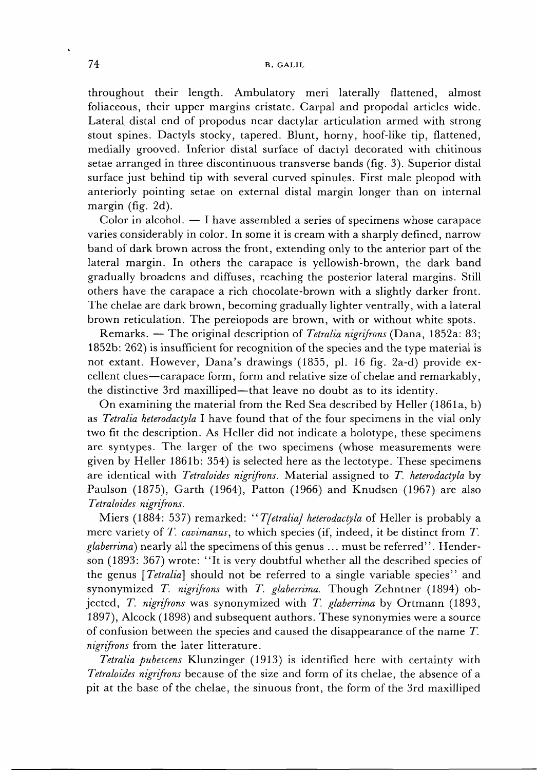throughout their length. Ambulatory meri laterally flattened, almost foliaceous, their upper margins cristate. Carpal and propodal articles wide. Lateral distal end of propodus near dactylar articulation armed with strong stout spines. Dactyls stocky, tapered. Blunt, horny, hoof-like tip, flattened, medially grooved. Inferior distal surface of dactyl decorated with chitinous setae arranged in three discontinuous transverse bands (fig. 3). Superior distal surface just behind tip with several curved spinules. First male pleopod with anteriorly pointing setae on external distal margin longer than on internal margin (fig. 2d).

Color in alcohol. — I have assembled a series of specimens whose carapace varies considerably in color. In some it is cream with a sharply defined, narrow band of dark brown across the front, extending only to the anterior part of the lateral margin. In others the carapace is yellowish-brown, the dark band gradually broadens and diffuses, reaching the posterior lateral margins. Still others have the carapace a rich chocolate-brown with a slightly darker front. The chelae are dark brown, becoming gradually lighter ventrally, with a lateral brown reticulation. The pereiopods are brown, with or without white spots.

Remarks. — The original description of *Tetralia nigrifrons* (Dana, 1852a: 83; 1852b: 262) is insufficient for recognition of the species and the type material is not extant. However, Dana's drawings (1855, pi. 16 fig. 2a-d) provide excellent clues—carapace form, form and relative size of chelae and remarkably, the distinctive 3rd maxilliped—that leave no doubt as to its identity.

On examining the material from the Red Sea described by Heller (1861a, b) as *Tetralia heterodactyla* I have found that of the four specimens in the vial only two fit the description. As Heller did not indicate a holotype, these specimens are syntypes. The larger of the two specimens (whose measurements were given by Heller 1861b: 354) is selected here as the lectotype. These specimens are identical with *Tetraloides nigrifrons.* Material assigned to *T. heterodactyla* by Paulson (1875), Garth (1964), Patton (1966) and Knudsen (1967) are also *Tetraloides nigrifrons.* 

Miers (1884: 537) remarked: *"TfetraliaJ heterodactyla* of Heller is probably a mere variety of *T. cavimanus,* to which species (if, indeed, it be distinct from *T. glaberrimd)* nearly all the specimens of this genus ... must be referred". Henderson (1893: 367) wrote: "It is very doubtful whether all the described species of the genus *[Tetralia]* should not be referred to a single variable species" and synonymized *T. nigrifrons* with *T. glaberrima.* Though Zehntner (1894) objected, *T. nigrifrons* was synonymized with *T. glaberrima* by Ortmann (1893, 1897), Alcock (1898) and subsequent authors. These synonymies were a source of confusion between the species and caused the disappearance of the name *T. nigrifrons* from the later litterature.

*Tetralia pubescens* Klunzinger (1913) is identified here with certainty with *Tetraloides nigrifrons* because of the size and form of its chelae, the absence of a pit at the base of the chelae, the sinuous front, the form of the 3rd maxilliped

Ñ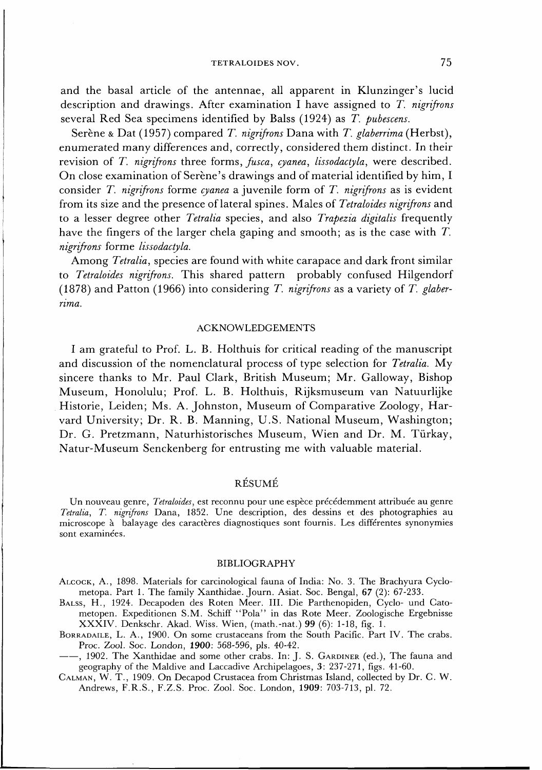and the basal article of the antennae, all apparent in Klunzinger's lucid description and drawings. After examination I have assigned to *T. nigrifrons*  several Red Sea specimens identified by Balss (1924) as T. pubescens.

Serène & Dat (1957) compared *T. nigrifrons* Dana with *T. glaberrima* (Herbst), enumerated many differences and, correctly, considered them distinct. In their revision of *T. nigrifrons* three forms, *fusca, cyanea, lissodactyla,* were described. On close examination of Serène's drawings and of material identified by him, I consider *T. nigrifrons* forme *cyanea* a juvenile form of *T. nigrifrons* as is evident from its size and the presence of lateral spines. Males of *Tetraloides nigrifrons* and to a lesser degree other *Tetralia* species, and also *Trapezia digitalis* frequently have the fingers of the larger chela gaping and smooth; as is the case with *T. nigrifrons* forme *lissodactyla.* 

Among *Tetralia*, species are found with white carapace and dark front similar to *Tetraloides nigrifrons.* This shared pattern probably confused Hilgendorf (1878) and Patton (1966) into considering *T. nigrifrons* as a variety of *T. glaberrima.* 

### ACKNOWLEDGEMENTS

I am grateful to Prof. L. B. Holthuis for critical reading of the manuscript and discussion of the nomenclatural process of type selection for *Tetralia*. My sincere thanks to Mr. Paul Clark, British Museum; Mr. Galloway, Bishop Museum, Honolulu ; Prof. L. B. Holthuis, Rijksmuseum van Natuurlijke Historie, Leiden; Ms. A. Johnston, Museum of Comparative Zoology, Harvard University; Dr. R. B. Manning, U.S. National Museum, Washington; Dr. G. Pretzmann, Naturhistorisches Museum, Wien and Dr. M. Türkay, Natur-Museum Senckenberg for entrusting me with valuable material.

# RESUME

Un nouveau genre, Tetraloides, est reconnu pour une espèce précédemment attribuée au genre *Tetralia, T. nigrifrons* Dana, 1852. Une description, des dessins et des photographies au microscope à balayage des caractères diagnostiques sont fournis. Les différentes synonymies sont examinées.

### BIBLIOGRAPHY

ALCOCK, A., 1898. Materials for carcinological fauna of India: No. 3. The Brachyura Cyclometopa. Part 1. The family Xanthidae. Journ. Asiat. Soc. Bengal, 67 (2): 67-233.

BALSS, H., 1924. Decapoden des Roten Meer. III. Die Parthenopiden, Cyclo- und Catometopen. Expeditionen S.M. Schiff "Pola" in das Rote Meer. Zoologische Ergebnisse XXXIV. Denkschr. Akad. Wiss. Wien, (math.-nat.) 99 (6): 1-18, fig. 1.

BORRADAILE, L. A., 1900. On some crustaceans from the South Pacific. Part IV. The crabs. Proc. Zool. Soc. London, 1900: 568-596, pis. 40-42.

, 1902. The Xanthidae and some other crabs. In: J. S. GARDINER (ed.), The fauna and geography of the Maldive and Laccadive Archipelagoes, 3: 237-271, figs. 41-60.

CALMAN, W. T., 1909. On Decapod Crustacea from Christmas Island, collected by Dr. C. W. Andrews, F.R.S., F.Z.S. Proc. Zool. Soc. London, 1909: 703-713, pi. 72.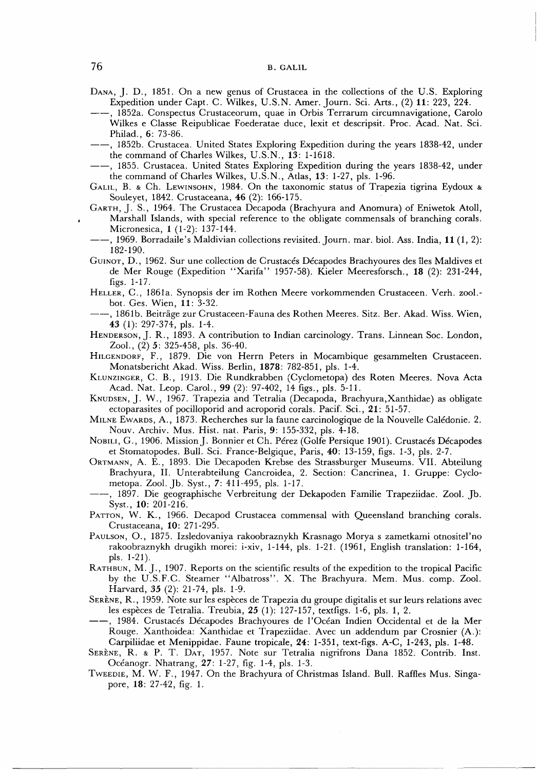- DANA, J. D., 1851. On a new genus of Crustacea in the collections of the U.S. Exploring Expedition under Capt. C. Wilkes, U.S.N. Amer. Journ. Sci. Arts., (2) **11:** 223, 224.
- , 1852a. Conspectus Crustaceorum, quae in Orbis Terrarum circumnavigatione, Carolo Wilkes e Classe Reipublicae Foederatae duce, lexit et descripsit. Proc. Acad. Nat. Sci. Philad., 6: 73-86.
- -, 1852b. Crustacea. United States Exploring Expedition during the years 1838-42, under the command of Charles Wilkes, U.S.N., 13: 1-1618.
- , 1855. Crustacea. United States Exploring Expedition during the years 1838-42, under the command of Charles Wilkes, U.S.N., Atlas, 13: 1-27, pis. 1-96.
- GALIL, B. & Ch. LEWINSOHN, 1984. On the taxonomic status of Trapezia tigrina Eydoux & Souleyet, 1842. Crustaceana, 46 (2): 166-175.
- GARTH, J. S., 1964. The Crustacea Decapoda (Brachyura and Anomura) of Eniwetok Atoll, Marshall Islands, with special reference to the obligate commensals of branching corals. Micronesica, 1 (1-2): 137-144.
- , 1969. Borradaile's Maldivian collections revisited. Journ. mar. biol. Ass. India, **11** (1, 2): 182-190.
- GUINOT, D., 1962. Sur une collection de Crustaces Decapodes Brachyoures des iles Maldives et de Mer Rouge (Expedition "Xarifa " 1957-58). Kieler Meeresforsch., **18** (2): 231-244, figs. 1-17.
- HELLER, C , 1861a. Synopsis der im Rothen Meere vorkommenden Crustaceen. Verh. zool. bot. Ges. Wien, **11:** 3-32.
- , 1861b. Beitrage zur Crustaceen-Fauna des Rothen Meeres. Sitz. Ber. Akad. Wiss. Wien, 43 (1): 297-374, pis. 1-4.
- HENDERSON, J. R., 1893. A contribution to Indian carcinology. Trans. Linnean Soc. London, Zool., (2) 5: 325-458, pis. 36-40.
- HILGENDORF, F., 1879. Die von Herrn Peters in Mocambique gesammelten Crustaceen. Monatsbericht Akad. Wiss. Berlin, **1878:** 782-851, pis. 1-4.
- KLUNZINGER, C. B., 1913. Die Rundkrabben (Cyclometopa) des Roten Meeres. Nova Acta Acad. Nat. Leop. Carol., 99 (2): 97-402, 14 figs., pis. 5-11.
- KNUDSEN, J. W., 1967. Trapezia and Tetralia (Decapoda, Brachyura,Xanthidae) as obligate ectoparasites of pocilloporid and acroporid corals. Pacif. Sci., 21: 51-57.
- MILNE EWARDS, A., 1873. Recherches sur la faune carcinologique de la Nouvelle Caledonie. 2. Nouv. Archiv. Mus. Hist. nat. Paris, 9: 155-332, pis. 4-18.
- NOBILI, G., 1906. Mission J. Bonnier et Ch. Pérez (Golfe Persique 1901). Crustacés Décapodes et Stomatopodes. Bull. Sci. France-Belgique, Paris, 40: 13-159, figs. 1-3, pis. 2-7.
- ORTMANN, A. E., 1893. Die Decapoden Krebse des Strassburger Museums. VII. Abteilung Brachyura, II. Unterabteilung Cancroidea, 2. Section: Cancrinea, 1. Gruppe: Cyclometopa. Zool. Jb . Syst., 7: 411-495, pis. 1-17.
- , 1897. Die geographische Verbreitung der Dekapoden Familie Trapeziidae. Zool. Jb . Syst., 10: 201-216.
- PATTON, W. K., 1966. Decapod Crustacea commensal with Queensland branching corals. Crustaceana, 10: 271-295.
- PAULSON, O., 1875. Izsledovaniya rakoobraznykh Krasnago Morya s zametkami otnositel'no rakoobraznykh drugikh morei: i-xiv, 1-144, pis. 1-21. (1961, English translation: 1-164, pis. 1-21).
- RATHBUN, M. J., 1907. Reports on the scientific results of the expedition to the tropical Pacific by the U.S.F.C. Steamer "Albatross". X. The Brachyura. Mem. Mus. comp. Zool. Harvard, *35* (2): 21-74, pis. 1-9.
- SERENE, R., 1959. Note sur les especes de Trapezia du groupe digitalis et sur leurs relations avec les especes de Tetralia. Treubia, 25 (1): 127-157, textfigs. 1-6, pis. 1, 2.
- , 1984. Crustaces Decapodes Brachyoures de l'Ocean Indien Occidental et de la Mer Rouge. Xanthoidea: Xanthidae et Trapeziidae. Avec un addendum par Crosnier (A.): Carpiliidae et Menippidae. Faune tropicale, 24: 1-351, text-figs. A-C, 1-243, pis. 1-48.
- SERENE, R. & P. T. DAT, 1957. Note sur Tetralia nigrifrons Dana 1852. Contrib. Inst. Oceanogr. Nhatrang, 27: 1-27, fig. 1-4, pis. 1-3.
- TWEEDIE, M. W. F., 1947. On the Brachyura of Christmas Island. Bull. Raffles Mus. Singapore, **18:** 27-42, fig. 1.